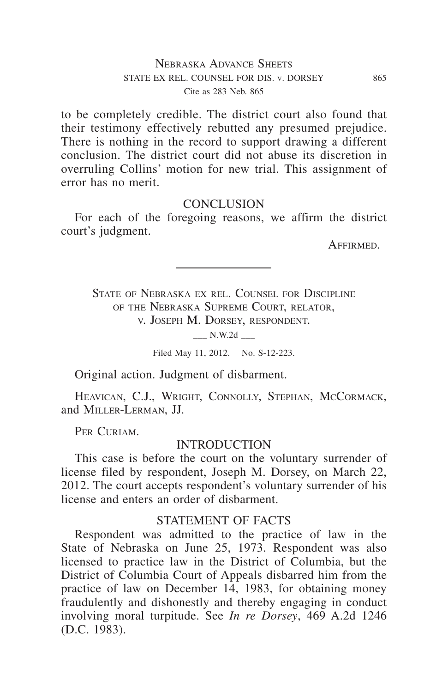# Nebraska Advance Sheets STATE EX REL. COUNSEL FOR DIS. v. DORSEY 865 Cite as 283 Neb. 865

to be completely credible. The district court also found that their testimony effectively rebutted any presumed prejudice. There is nothing in the record to support drawing a different conclusion. The district court did not abuse its discretion in overruling Collins' motion for new trial. This assignment of error has no merit.

### **CONCLUSION**

For each of the foregoing reasons, we affirm the district court's judgment.

Affirmed.

State of Nebraska ex rel. Counsel for Discipline of the Nebraska Supreme Court, relator, v. Joseph M. Dorsey, respondent.

 $\_\_$  N.W.2d  $\_\_$ 

Filed May 11, 2012. No. S-12-223.

Original action. Judgment of disbarment.

HEAVICAN, C.J., WRIGHT, CONNOLLY, STEPHAN, MCCORMACK, and Miller-Lerman, JJ.

PER CURIAM.

#### INTRODUCTION

This case is before the court on the voluntary surrender of license filed by respondent, Joseph M. Dorsey, on March 22, 2012. The court accepts respondent's voluntary surrender of his license and enters an order of disbarment.

### STATEMENT OF FACTS

Respondent was admitted to the practice of law in the State of Nebraska on June 25, 1973. Respondent was also licensed to practice law in the District of Columbia, but the District of Columbia Court of Appeals disbarred him from the practice of law on December 14, 1983, for obtaining money fraudulently and dishonestly and thereby engaging in conduct involving moral turpitude. See *In re Dorsey*, 469 A.2d 1246 (D.C. 1983).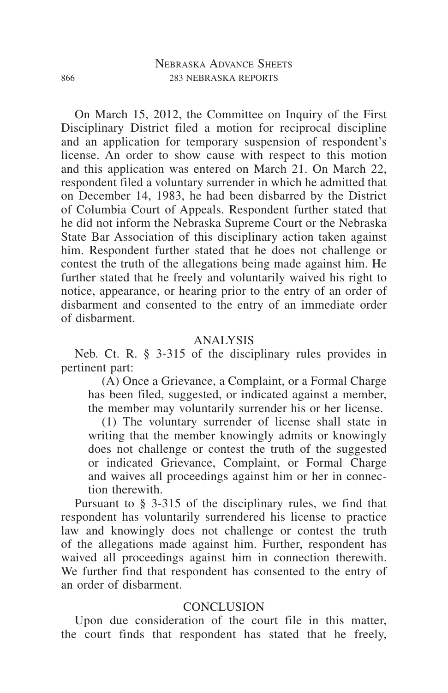On March 15, 2012, the Committee on Inquiry of the First Disciplinary District filed a motion for reciprocal discipline and an application for temporary suspension of respondent's license. An order to show cause with respect to this motion and this application was entered on March 21. On March 22, respondent filed a voluntary surrender in which he admitted that on December 14, 1983, he had been disbarred by the District of Columbia Court of Appeals. Respondent further stated that he did not inform the Nebraska Supreme Court or the Nebraska State Bar Association of this disciplinary action taken against him. Respondent further stated that he does not challenge or contest the truth of the allegations being made against him. He further stated that he freely and voluntarily waived his right to notice, appearance, or hearing prior to the entry of an order of disbarment and consented to the entry of an immediate order of disbarment.

### ANALYSIS

Neb. Ct. R. § 3-315 of the disciplinary rules provides in pertinent part:

(A) Once a Grievance, a Complaint, or a Formal Charge has been filed, suggested, or indicated against a member, the member may voluntarily surrender his or her license.

(1) The voluntary surrender of license shall state in writing that the member knowingly admits or knowingly does not challenge or contest the truth of the suggested or indicated Grievance, Complaint, or Formal Charge and waives all proceedings against him or her in connection therewith.

Pursuant to § 3-315 of the disciplinary rules, we find that respondent has voluntarily surrendered his license to practice law and knowingly does not challenge or contest the truth of the allegations made against him. Further, respondent has waived all proceedings against him in connection therewith. We further find that respondent has consented to the entry of an order of disbarment.

# **CONCLUSION**

Upon due consideration of the court file in this matter, the court finds that respondent has stated that he freely,